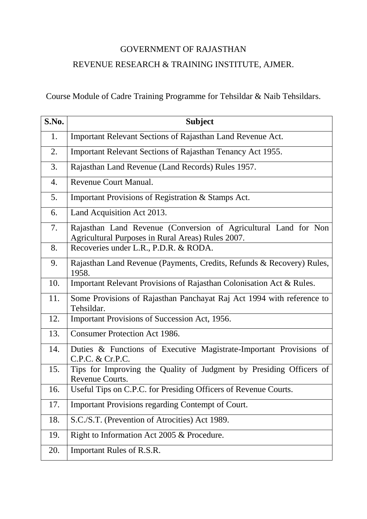## GOVERNMENT OF RAJASTHAN REVENUE RESEARCH & TRAINING INSTITUTE, AJMER.

Course Module of Cadre Training Programme for Tehsildar & Naib Tehsildars.

| S.No. | <b>Subject</b>                                                                                                       |
|-------|----------------------------------------------------------------------------------------------------------------------|
| 1.    | Important Relevant Sections of Rajasthan Land Revenue Act.                                                           |
| 2.    | Important Relevant Sections of Rajasthan Tenancy Act 1955.                                                           |
| 3.    | Rajasthan Land Revenue (Land Records) Rules 1957.                                                                    |
| 4.    | Revenue Court Manual.                                                                                                |
| 5.    | Important Provisions of Registration & Stamps Act.                                                                   |
| 6.    | Land Acquisition Act 2013.                                                                                           |
| 7.    | Rajasthan Land Revenue (Conversion of Agricultural Land for Non<br>Agricultural Purposes in Rural Areas) Rules 2007. |
| 8.    | Recoveries under L.R., P.D.R. & RODA.                                                                                |
| 9.    | Rajasthan Land Revenue (Payments, Credits, Refunds & Recovery) Rules,<br>1958.                                       |
| 10.   | Important Relevant Provisions of Rajasthan Colonisation Act & Rules.                                                 |
| 11.   | Some Provisions of Rajasthan Panchayat Raj Act 1994 with reference to<br>Tehsildar.                                  |
| 12.   | Important Provisions of Succession Act, 1956.                                                                        |
| 13.   | <b>Consumer Protection Act 1986.</b>                                                                                 |
| 14.   | Duties & Functions of Executive Magistrate-Important Provisions of<br>C.P.C. & Cr.P.C.                               |
| 15.   | Tips for Improving the Quality of Judgment by Presiding Officers of<br>Revenue Courts.                               |
| 16.   | Useful Tips on C.P.C. for Presiding Officers of Revenue Courts.                                                      |
| 17.   | <b>Important Provisions regarding Contempt of Court.</b>                                                             |
| 18.   | S.C./S.T. (Prevention of Atrocities) Act 1989.                                                                       |
| 19.   | Right to Information Act 2005 & Procedure.                                                                           |
| 20.   | Important Rules of R.S.R.                                                                                            |